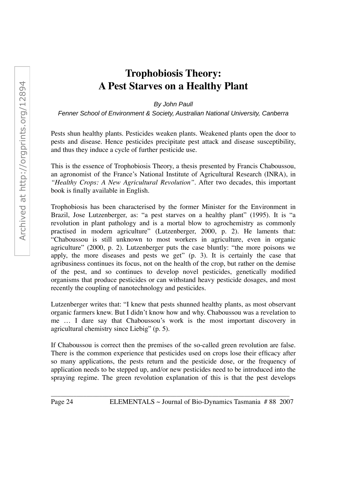## **Trophobiosis Theory: A Pest Starves on a Healthy Plant**

By John Paull

Fenner School of Environment & Society, Australian National University, Canberra

Pests shun healthy plants. Pesticides weaken plants. Weakened plants open the door to pests and disease. Hence pesticides precipitate pest attack and disease susceptibility, and thus they induce a cycle of further pesticide use.

This is the essence of Trophobiosis Theory, a thesis presented by Francis Chaboussou, an agronomist of the France's National Institute of Agricultural Research (INRA), in *"Healthy Crops: A New Agricultural Revolution"*. After two decades, this important book is finally available in English.

Trophobiosis has been characterised by the former Minister for the Environment in Brazil, Jose Lutzenberger, as: "a pest starves on a healthy plant" (1995). It is "a revolution in plant pathology and is a mortal blow to agrochemistry as commonly practised in modern agriculture" (Lutzenberger, 2000, p. 2). He laments that: "Chaboussou is still unknown to most workers in agriculture, even in organic agriculture" (2000, p. 2). Lutzenberger puts the case bluntly: "the more poisons we apply, the more diseases and pests we get" (p. 3). It is certainly the case that agribusiness continues its focus, not on the health of the crop, but rather on the demise of the pest, and so continues to develop novel pesticides, genetically modified organisms that produce pesticides or can withstand heavy pesticide dosages, and most recently the coupling of nanotechnology and pesticides.

Lutzenberger writes that: "I knew that pests shunned healthy plants, as most observant organic farmers knew. But I didn't know how and why. Chaboussou was a revelation to me … I dare say that Chaboussou's work is the most important discovery in agricultural chemistry since Liebig" (p. 5).

If Chaboussou is correct then the premises of the so-called green revolution are false. There is the common experience that pesticides used on crops lose their efficacy after so many applications, the pests return and the pesticide dose, or the frequency of application needs to be stepped up, and/or new pesticides need to be introduced into the spraying regime. The green revolution explanation of this is that the pest develops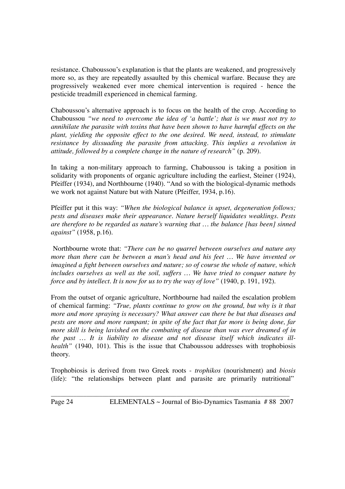resistance. Chaboussou's explanation is that the plants are weakened, and progressively more so, as they are repeatedly assaulted by this chemical warfare. Because they are progressively weakened ever more chemical intervention is required - hence the pesticide treadmill experienced in chemical farming.

Chaboussou's alternative approach is to focus on the health of the crop. According to Chaboussou *"we need to overcome the idea of 'a battle'; that is we must not try to annihilate the parasite with toxins that have been shown to have harmful effects on the plant, yielding the opposite effect to the one desired. We need, instead, to stimulate resistance by dissuading the parasite from attacking. This implies a revolution in attitude, followed by a complete change in the nature of research"* (p. 209).

In taking a non-military approach to farming, Chaboussou is taking a position in solidarity with proponents of organic agriculture including the earliest, Steiner (1924), Pfeiffer (1934), and Northbourne (1940). "And so with the biological-dynamic methods we work not against Nature but with Nature (Pfeiffer, 1934, p.16).

Pfeiffer put it this way: *"When the biological balance is upset, degeneration follows; pests and diseases make their appearance. Nature herself liquidates weaklings. Pests are therefore to be regarded as nature's warning that … the balance [has been] sinned against"* (1958, p.16).

Northbourne wrote that: *"There can be no quarrel between ourselves and nature any more than there can be between a man's head and his feet … We have invented or imagined a fight between ourselves and nature; so of course the whole of nature, which includes ourselves as well as the soil, suffers … We have tried to conquer nature by force and by intellect. It is now for us to try the way of love"* (1940, p. 191, 192).

From the outset of organic agriculture, Northbourne had nailed the escalation problem of chemical farming: *"True, plants continue to grow on the ground, but why is it that more and more spraying is necessary? What answer can there be but that diseases and pests are more and more rampant; in spite of the fact that far more is being done, far more skill is being lavished on the combating of disease than was ever dreamed of in the past … It is liability to disease and not disease itself which indicates illhealth"* (1940, 101). This is the issue that Chaboussou addresses with trophobiosis theory.

Trophobiosis is derived from two Greek roots - *trophikos* (nourishment) and *biosis* (life): "the relationships between plant and parasite are primarily nutritional",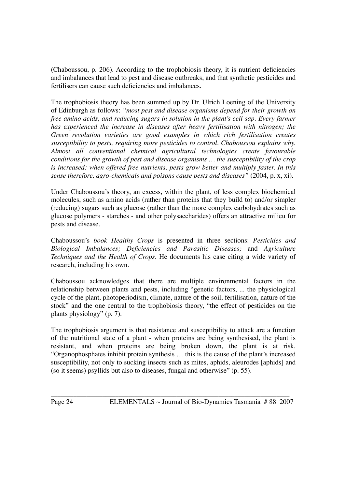(Chaboussou, p. 206). According to the trophobiosis theory, it is nutrient deficiencies and imbalances that lead to pest and disease outbreaks, and that synthetic pesticides and fertilisers can cause such deficiencies and imbalances.

The trophobiosis theory has been summed up by Dr. Ulrich Loening of the University of Edinburgh as follows: *"most pest and disease organisms depend for their growth on free amino acids, and reducing sugars in solution in the plant's cell sap. Every farmer has experienced the increase in diseases after heavy fertilisation with nitrogen; the Green revolution varieties are good examples in which rich fertilisation creates susceptibility to pests, requiring more pesticides to control. Chaboussou explains why. Almost all conventional chemical agricultural technologies create favourable conditions for the growth of pest and disease organisms … the susceptibility of the crop is increased: when offered free nutrients, pests grow better and multiply faster. In this sense therefore, agro-chemicals and poisons cause pests and diseases"* (2004, p. x, xi).

Under Chaboussou's theory, an excess, within the plant, of less complex biochemical molecules, such as amino acids (rather than proteins that they build to) and/or simpler (reducing) sugars such as glucose (rather than the more complex carbohydrates such as glucose polymers - starches - and other polysaccharides) offers an attractive milieu for pests and disease.

Chaboussou's *book Healthy Crops* is presented in three sections: *Pesticides and Biological Imbalances; Deficiencies and Parasitic Diseases;* and *Agriculture Techniques and the Health of Crops*. He documents his case citing a wide variety of research, including his own.

Chaboussou acknowledges that there are multiple environmental factors in the relationship between plants and pests, including "genetic factors, ... the physiological cycle of the plant, photoperiodism, climate, nature of the soil, fertilisation, nature of the stock" and the one central to the trophobiosis theory, "the effect of pesticides on the plants physiology" (p. 7).

The trophobiosis argument is that resistance and susceptibility to attack are a function of the nutritional state of a plant - when proteins are being synthesised, the plant is resistant, and when proteins are being broken down, the plant is at risk. "Organophosphates inhibit protein synthesis … this is the cause of the plant's increased susceptibility, not only to sucking insects such as mites, aphids, aleurodes [aphids] and (so it seems) psyllids but also to diseases, fungal and otherwise" (p. 55).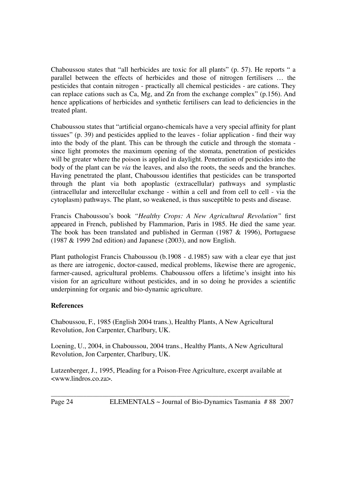Chaboussou states that "all herbicides are toxic for all plants" (p. 57). He reports " a parallel between the effects of herbicides and those of nitrogen fertilisers … the pesticides that contain nitrogen - practically all chemical pesticides - are cations. They can replace cations such as Ca, Mg, and Zn from the exchange complex" (p.156). And hence applications of herbicides and synthetic fertilisers can lead to deficiencies in the treated plant.

Chaboussou states that "artificial organo-chemicals have a very special affinity for plant tissues" (p. 39) and pesticides applied to the leaves - foliar application - find their way into the body of the plant. This can be through the cuticle and through the stomata since light promotes the maximum opening of the stomata, penetration of pesticides will be greater where the poison is applied in daylight. Penetration of pesticides into the body of the plant can be *via* the leaves, and also the roots, the seeds and the branches. Having penetrated the plant, Chaboussou identifies that pesticides can be transported through the plant via both apoplastic (extracellular) pathways and symplastic (intracellular and intercellular exchange - within a cell and from cell to cell - via the cytoplasm) pathways. The plant, so weakened, is thus susceptible to pests and disease.

Francis Chaboussou's book *"Healthy Crops: A New Agricultural Revolution"* first appeared in French, published by Flammarion, Paris in 1985. He died the same year. The book has been translated and published in German (1987 & 1996), Portuguese (1987 & 1999 2nd edition) and Japanese (2003), and now English.

Plant pathologist Francis Chaboussou (b.1908 - d.1985) saw with a clear eye that just as there are iatrogenic, doctor-caused, medical problems, likewise there are agrogenic, farmer-caused, agricultural problems. Chaboussou offers a lifetime's insight into his vision for an agriculture without pesticides, and in so doing he provides a scientific underpinning for organic and bio-dynamic agriculture.

## **References**

Chaboussou, F., 1985 (English 2004 trans.), Healthy Plants, A New Agricultural Revolution, Jon Carpenter, Charlbury, UK.

Loening, U., 2004, in Chaboussou, 2004 trans., Healthy Plants, A New Agricultural Revolution, Jon Carpenter, Charlbury, UK.

Lutzenberger, J., 1995, Pleading for a Poison-Free Agriculture, excerpt available at <www.lindros.co.za>.